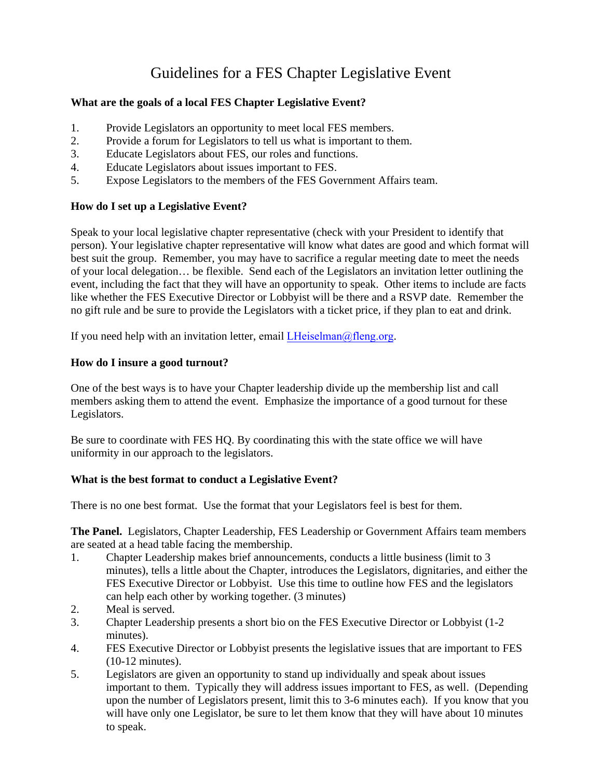# Guidelines for a FES Chapter Legislative Event

### **What are the goals of a local FES Chapter Legislative Event?**

- 1. Provide Legislators an opportunity to meet local FES members.
- 2. Provide a forum for Legislators to tell us what is important to them.
- 3. Educate Legislators about FES, our roles and functions.
- 4. Educate Legislators about issues important to FES.
- 5. Expose Legislators to the members of the FES Government Affairs team.

### **How do I set up a Legislative Event?**

Speak to your local legislative chapter representative (check with your President to identify that person). Your legislative chapter representative will know what dates are good and which format will best suit the group. Remember, you may have to sacrifice a regular meeting date to meet the needs of your local delegation… be flexible. Send each of the Legislators an invitation letter outlining the event, including the fact that they will have an opportunity to speak. Other items to include are facts like whether the FES Executive Director or Lobbyist will be there and a RSVP date. Remember the no gift rule and be sure to provide the Legislators with a ticket price, if they plan to eat and drink.

If you need help with an invitation letter, email  $LHeiselman@fleng.org$ .

### **How do I insure a good turnout?**

One of the best ways is to have your Chapter leadership divide up the membership list and call members asking them to attend the event. Emphasize the importance of a good turnout for these Legislators.

Be sure to coordinate with FES HQ. By coordinating this with the state office we will have uniformity in our approach to the legislators.

## **What is the best format to conduct a Legislative Event?**

There is no one best format. Use the format that your Legislators feel is best for them.

**The Panel.** Legislators, Chapter Leadership, FES Leadership or Government Affairs team members are seated at a head table facing the membership.

- 1. Chapter Leadership makes brief announcements, conducts a little business (limit to 3 minutes), tells a little about the Chapter, introduces the Legislators, dignitaries, and either the FES Executive Director or Lobbyist. Use this time to outline how FES and the legislators can help each other by working together. (3 minutes)
- 2. Meal is served.
- 3. Chapter Leadership presents a short bio on the FES Executive Director or Lobbyist (1-2 minutes).
- 4. FES Executive Director or Lobbyist presents the legislative issues that are important to FES (10-12 minutes).
- 5. Legislators are given an opportunity to stand up individually and speak about issues important to them. Typically they will address issues important to FES, as well. (Depending upon the number of Legislators present, limit this to 3-6 minutes each). If you know that you will have only one Legislator, be sure to let them know that they will have about 10 minutes to speak.